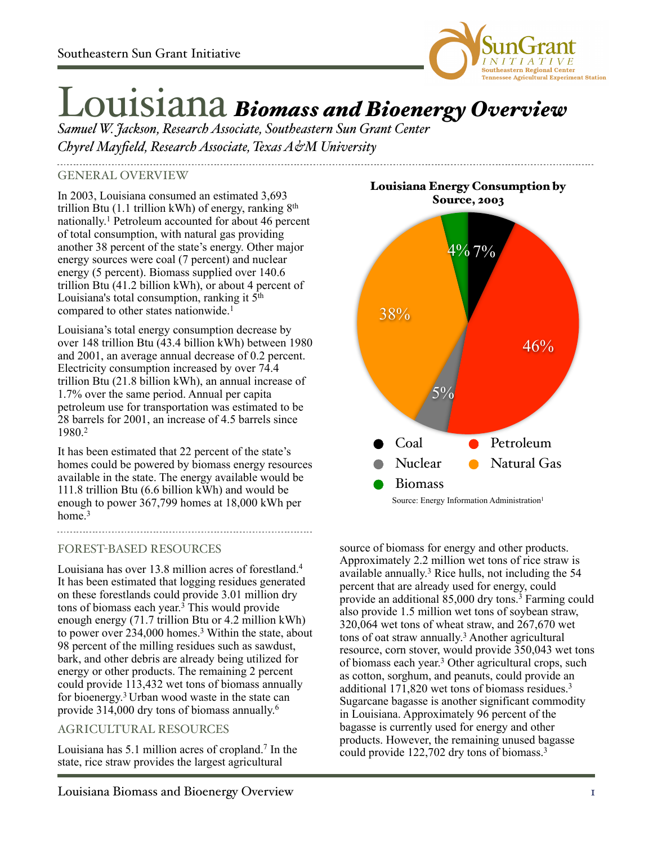

# Louisiana *Biomass and Bioenergy Overview*

*Samuel W. Jackson, Research Associate, Southeastern Sun Grant Center Chyrel Mayfield, Research Associate, Texas A&M University*

#### GENERAL OVERVIEW

In 2003, Louisiana consumed an estimated 3,693 trillion Btu  $(1.1 \text{ trillion kWh})$  of energy, ranking  $8<sup>th</sup>$ nationally. 1 Petroleum accounted for about 46 percent of total consumption, with natural gas providing another 38 percent of the state's energy. Other major energy sources were coal (7 percent) and nuclear energy (5 percent). Biomass supplied over 140.6 trillion Btu (41.2 billion kWh), or about 4 percent of Louisiana's total consumption, ranking it 5<sup>th</sup> compared to other states nationwide.<sup>1</sup>

Louisiana's total energy consumption decrease by over 148 trillion Btu (43.4 billion kWh) between 1980 and 2001, an average annual decrease of 0.2 percent. Electricity consumption increased by over 74.4 trillion Btu (21.8 billion kWh), an annual increase of 1.7% over the same period. Annual per capita petroleum use for transportation was estimated to be 28 barrels for 2001, an increase of 4.5 barrels since 1980.2

It has been estimated that 22 percent of the state's homes could be powered by biomass energy resources available in the state. The energy available would be 111.8 trillion Btu (6.6 billion kWh) and would be enough to power 367,799 homes at 18,000 kWh per home  $3$ 

# FOREST-BASED RESOURCES

Louisiana has over 13.8 million acres of forestland.4 It has been estimated that logging residues generated on these forestlands could provide 3.01 million dry tons of biomass each year. <sup>3</sup> This would provide enough energy (71.7 trillion Btu or 4.2 million kWh) to power over 234,000 homes.<sup>3</sup> Within the state, about 98 percent of the milling residues such as sawdust, bark, and other debris are already being utilized for energy or other products. The remaining 2 percent could provide 113,432 wet tons of biomass annually for bioenergy. 3 Urban wood waste in the state can provide 314,000 dry tons of biomass annually. 6

# AGRICULTURAL RESOURCES

Louisiana has 5.1 million acres of cropland.7 In the state, rice straw provides the largest agricultural

Louisiana Energy Consumption by



source of biomass for energy and other products. Approximately 2.2 million wet tons of rice straw is available annually. 3 Rice hulls, not including the 54 percent that are already used for energy, could provide an additional 85,000 dry tons.3 Farming could also provide 1.5 million wet tons of soybean straw,  $320,064$  wet tons of wheat straw, and  $267,670$  wet tons of oat straw annually. <sup>3</sup> Another agricultural resource, corn stover, would provide 350,043 wet tons of biomass each year. 3 Other agricultural crops, such as cotton, sorghum, and peanuts, could provide an additional 171,820 wet tons of biomass residues.3 Sugarcane bagasse is another significant commodity in Louisiana. Approximately 96 percent of the bagasse is currently used for energy and other products. However, the remaining unused bagasse could provide 122,702 dry tons of biomass.3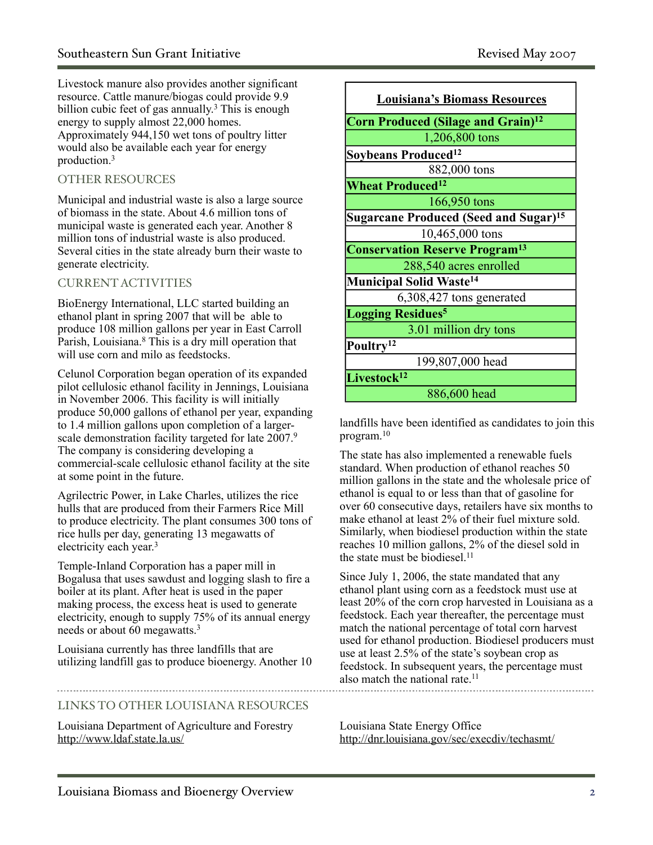Livestock manure also provides another significant resource. Cattle manure/biogas could provide 9.9 billion cubic feet of gas annually. <sup>3</sup> This is enough energy to supply almost 22,000 homes. Approximately 944,150 wet tons of poultry litter would also be available each year for energy production.3

# OTHER RESOURCES

Municipal and industrial waste is also a large source of biomass in the state. About 4.6 million tons of municipal waste is generated each year. Another 8 million tons of industrial waste is also produced. Several cities in the state already burn their waste to generate electricity.

# CURRENT ACTIVITIES

BioEnergy International, LLC started building an ethanol plant in spring 2007 that will be able to produce 108 million gallons per year in East Carroll Parish, Louisiana.<sup>8</sup> This is a dry mill operation that will use corn and milo as feedstocks.

Celunol Corporation began operation of its expanded pilot cellulosic ethanol facility in Jennings, Louisiana in November 2006. This facility is will initially produce 50,000 gallons of ethanol per year, expanding to 1.4 million gallons upon completion of a largerscale demonstration facility targeted for late 2007.<sup>9</sup> The company is considering developing a commercial-scale cellulosic ethanol facility at the site at some point in the future.

Agrilectric Power, in Lake Charles, utilizes the rice hulls that are produced from their Farmers Rice Mill to produce electricity. The plant consumes 300 tons of rice hulls per day, generating 13 megawatts of electricity each year.<sup>3</sup>

Temple-Inland Corporation has a paper mill in Bogalusa that uses sawdust and logging slash to fire a boiler at its plant. After heat is used in the paper making process, the excess heat is used to generate electricity, enough to supply 75% of its annual energy needs or about 60 megawatts.3

Louisiana currently has three landfills that are utilizing landfill gas to produce bioenergy. Another 10

# LINKS TO OTHER LOUISIANA RESOURCES

Louisiana Department of Agriculture and Forestry <http://www.ldaf.state.la.us/>

| <b>Louisiana's Biomass Resources</b>              |
|---------------------------------------------------|
| Corn Produced (Silage and Grain) <sup>12</sup>    |
| 1,206,800 tons                                    |
| Soybeans Produced <sup>12</sup>                   |
| 882,000 tons                                      |
| <b>Wheat Produced<sup>12</sup></b>                |
| 166,950 tons                                      |
| Sugarcane Produced (Seed and Sugar) <sup>15</sup> |
| 10,465,000 tons                                   |
| <b>Conservation Reserve Program<sup>13</sup></b>  |
| 288,540 acres enrolled                            |
| <b>Municipal Solid Waste<sup>14</sup></b>         |
| 6,308,427 tons generated                          |
| <b>Logging Residues<sup>5</sup></b>               |
| 3.01 million dry tons                             |
| Poultry <sup>12</sup>                             |
| 199,807,000 head                                  |
| Livestock <sup>12</sup>                           |
| 886,600 head                                      |

landfills have been identified as candidates to join this program.10

The state has also implemented a renewable fuels standard. When production of ethanol reaches 50 million gallons in the state and the wholesale price of ethanol is equal to or less than that of gasoline for over 60 consecutive days, retailers have six months to make ethanol at least 2% of their fuel mixture sold. Similarly, when biodiesel production within the state reaches 10 million gallons, 2% of the diesel sold in the state must be biodiesel.<sup>11</sup>

Since July 1, 2006, the state mandated that any ethanol plant using corn as a feedstock must use at least 20% of the corn crop harvested in Louisiana as a feedstock. Each year thereafter, the percentage must match the national percentage of total corn harvest used for ethanol production. Biodiesel producers must use at least 2.5% of the state's soybean crop as feedstock. In subsequent years, the percentage must also match the national rate.<sup>11</sup>

Louisiana State Energy Office <http://dnr.louisiana.gov/sec/execdiv/techasmt/>